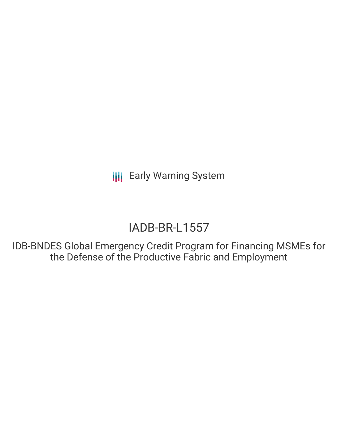**III** Early Warning System

# IADB-BR-L1557

IDB-BNDES Global Emergency Credit Program for Financing MSMEs for the Defense of the Productive Fabric and Employment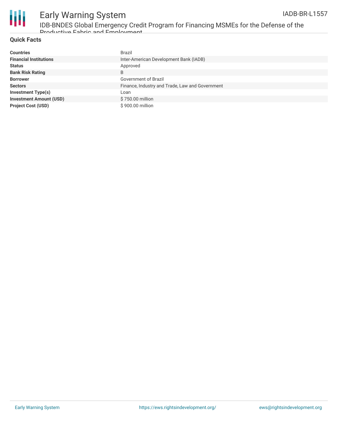

# Early Warning System IDB-BNDES Global Emergency Credit Program for Financing MSMEs for the Defense of the

Productive Fabric and Employment

# **Quick Facts**

| <b>Countries</b>               | Brazil                                          |
|--------------------------------|-------------------------------------------------|
| <b>Financial Institutions</b>  | Inter-American Development Bank (IADB)          |
| <b>Status</b>                  | Approved                                        |
| <b>Bank Risk Rating</b>        | B                                               |
| <b>Borrower</b>                | Government of Brazil                            |
| <b>Sectors</b>                 | Finance, Industry and Trade, Law and Government |
| <b>Investment Type(s)</b>      | Loan                                            |
| <b>Investment Amount (USD)</b> | \$750,00 million                                |
| <b>Project Cost (USD)</b>      | \$900.00 million                                |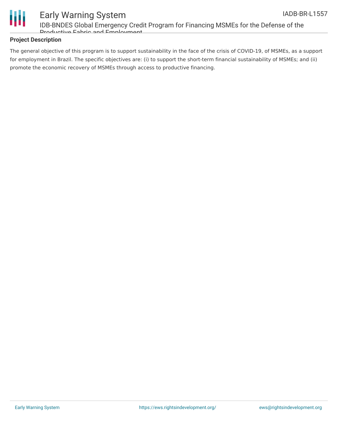

# Early Warning System IDB-BNDES Global Emergency Credit Program for Financing MSMEs for the Defense of the Productive Fabric and Employment

## **Project Description**

The general objective of this program is to support sustainability in the face of the crisis of COVID-19, of MSMEs, as a support for employment in Brazil. The specific objectives are: (i) to support the short-term financial sustainability of MSMEs; and (ii) promote the economic recovery of MSMEs through access to productive financing.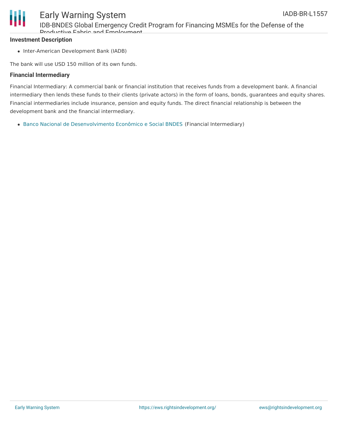

# Early Warning System IDB-BNDES Global Emergency Credit Program for Financing MSMEs for the Defense of the Productive Fabric and Employment

### **Investment Description**

• Inter-American Development Bank (IADB)

The bank will use USD 150 million of its own funds.

### **Financial Intermediary**

Financial Intermediary: A commercial bank or financial institution that receives funds from a development bank. A financial intermediary then lends these funds to their clients (private actors) in the form of loans, bonds, guarantees and equity shares. Financial intermediaries include insurance, pension and equity funds. The direct financial relationship is between the development bank and the financial intermediary.

Banco Nacional de [Desenvolvimento](file:///actor/1899/) Econômico e Social BNDES (Financial Intermediary)